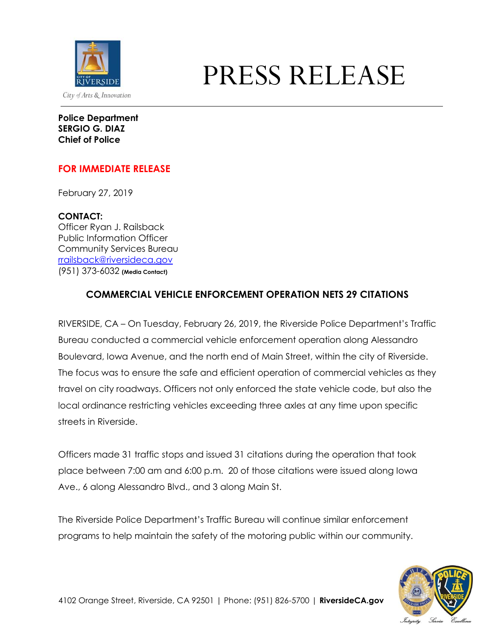

# PRESS RELEASE

**Police Department SERGIO G. DIAZ Chief of Police**

### **FOR IMMEDIATE RELEASE**

February 27, 2019

**CONTACT:** Officer Ryan J. Railsback Public Information Officer Community Services Bureau [rrailsback@riversideca.gov](mailto:rrailsback@riversideca.gov) (951) 373-6032 **(Media Contact)**

## **COMMERCIAL VEHICLE ENFORCEMENT OPERATION NETS 29 CITATIONS**

RIVERSIDE, CA – On Tuesday, February 26, 2019, the Riverside Police Department's Traffic Bureau conducted a commercial vehicle enforcement operation along Alessandro Boulevard, Iowa Avenue, and the north end of Main Street, within the city of Riverside. The focus was to ensure the safe and efficient operation of commercial vehicles as they travel on city roadways. Officers not only enforced the state vehicle code, but also the local ordinance restricting vehicles exceeding three axles at any time upon specific streets in Riverside.

Officers made 31 traffic stops and issued 31 citations during the operation that took place between 7:00 am and 6:00 p.m. 20 of those citations were issued along Iowa Ave., 6 along Alessandro Blvd., and 3 along Main St.

The Riverside Police Department's Traffic Bureau will continue similar enforcement programs to help maintain the safety of the motoring public within our community.

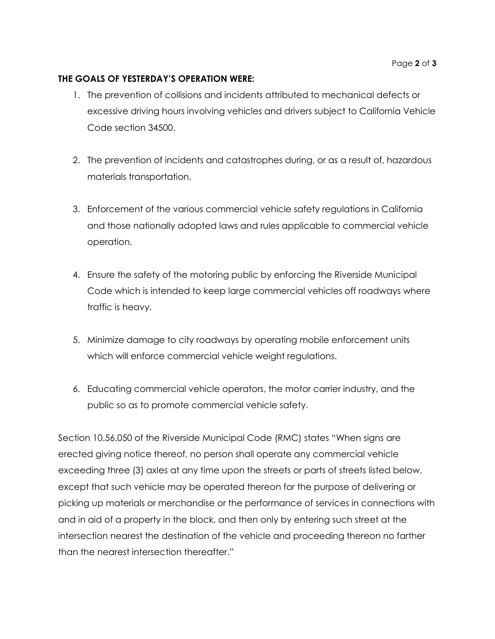#### **THE GOALS OF YESTERDAY'S OPERATION WERE:**

- 1. The prevention of collisions and incidents attributed to mechanical defects or excessive driving hours involving vehicles and drivers subject to California Vehicle Code section 34500.
- 2. The prevention of incidents and catastrophes during, or as a result of, hazardous materials transportation.
- 3. Enforcement of the various commercial vehicle safety regulations in California and those nationally adopted laws and rules applicable to commercial vehicle operation.
- 4. Ensure the safety of the motoring public by enforcing the Riverside Municipal Code which is intended to keep large commercial vehicles off roadways where traffic is heavy.
- 5. Minimize damage to city roadways by operating mobile enforcement units which will enforce commercial vehicle weight regulations.
- 6. Educating commercial vehicle operators, the motor carrier industry, and the public so as to promote commercial vehicle safety.

Section 10.56.050 of the Riverside Municipal Code (RMC) states "When signs are erected giving notice thereof, no person shall operate any commercial vehicle exceeding three (3) axles at any time upon the streets or parts of streets listed below, except that such vehicle may be operated thereon for the purpose of delivering or picking up materials or merchandise or the performance of services in connections with and in aid of a property in the block, and then only by entering such street at the intersection nearest the destination of the vehicle and proceeding thereon no farther than the nearest intersection thereafter."